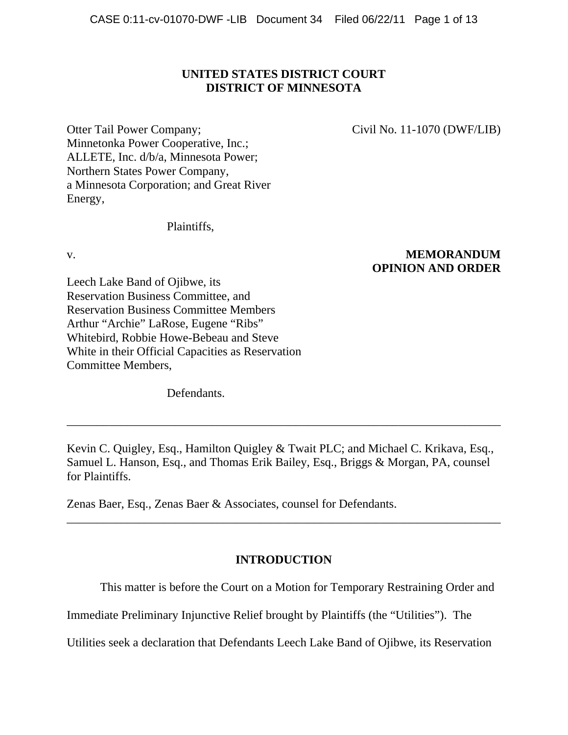# **UNITED STATES DISTRICT COURT DISTRICT OF MINNESOTA**

Otter Tail Power Company; Civil No. 11-1070 (DWF/LIB) Minnetonka Power Cooperative, Inc.; ALLETE, Inc. d/b/a, Minnesota Power; Northern States Power Company, a Minnesota Corporation; and Great River Energy,

Plaintiffs,

# v. **MEMORANDUM OPINION AND ORDER**

Leech Lake Band of Ojibwe, its Reservation Business Committee, and Reservation Business Committee Members Arthur "Archie" LaRose, Eugene "Ribs" Whitebird, Robbie Howe-Bebeau and Steve White in their Official Capacities as Reservation Committee Members,

Defendants.

Kevin C. Quigley, Esq., Hamilton Quigley & Twait PLC; and Michael C. Krikava, Esq., Samuel L. Hanson, Esq., and Thomas Erik Bailey, Esq., Briggs & Morgan, PA, counsel for Plaintiffs.

\_\_\_\_\_\_\_\_\_\_\_\_\_\_\_\_\_\_\_\_\_\_\_\_\_\_\_\_\_\_\_\_\_\_\_\_\_\_\_\_\_\_\_\_\_\_\_\_\_\_\_\_\_\_\_\_\_\_\_\_\_\_\_\_\_\_\_\_\_\_\_\_

Zenas Baer, Esq., Zenas Baer & Associates, counsel for Defendants.

# **INTRODUCTION**

\_\_\_\_\_\_\_\_\_\_\_\_\_\_\_\_\_\_\_\_\_\_\_\_\_\_\_\_\_\_\_\_\_\_\_\_\_\_\_\_\_\_\_\_\_\_\_\_\_\_\_\_\_\_\_\_\_\_\_\_\_\_\_\_\_\_\_\_\_\_\_\_

This matter is before the Court on a Motion for Temporary Restraining Order and

Immediate Preliminary Injunctive Relief brought by Plaintiffs (the "Utilities"). The

Utilities seek a declaration that Defendants Leech Lake Band of Ojibwe, its Reservation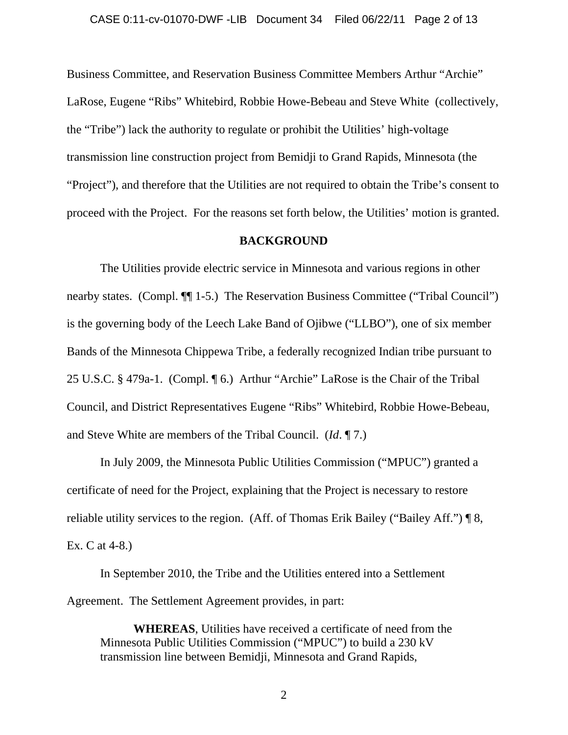Business Committee, and Reservation Business Committee Members Arthur "Archie" LaRose, Eugene "Ribs" Whitebird, Robbie Howe-Bebeau and Steve White (collectively, the "Tribe") lack the authority to regulate or prohibit the Utilities' high-voltage transmission line construction project from Bemidji to Grand Rapids, Minnesota (the "Project"), and therefore that the Utilities are not required to obtain the Tribe's consent to proceed with the Project. For the reasons set forth below, the Utilities' motion is granted.

#### **BACKGROUND**

 The Utilities provide electric service in Minnesota and various regions in other nearby states. (Compl. ¶¶ 1-5.) The Reservation Business Committee ("Tribal Council") is the governing body of the Leech Lake Band of Ojibwe ("LLBO"), one of six member Bands of the Minnesota Chippewa Tribe, a federally recognized Indian tribe pursuant to 25 U.S.C. § 479a-1. (Compl. ¶ 6.) Arthur "Archie" LaRose is the Chair of the Tribal Council, and District Representatives Eugene "Ribs" Whitebird, Robbie Howe-Bebeau, and Steve White are members of the Tribal Council. (*Id*. ¶ 7.)

 In July 2009, the Minnesota Public Utilities Commission ("MPUC") granted a certificate of need for the Project, explaining that the Project is necessary to restore reliable utility services to the region. (Aff. of Thomas Erik Bailey ("Bailey Aff.") ¶ 8, Ex. C at 4-8.)

In September 2010, the Tribe and the Utilities entered into a Settlement Agreement. The Settlement Agreement provides, in part:

**WHEREAS**, Utilities have received a certificate of need from the Minnesota Public Utilities Commission ("MPUC") to build a 230 kV transmission line between Bemidji, Minnesota and Grand Rapids,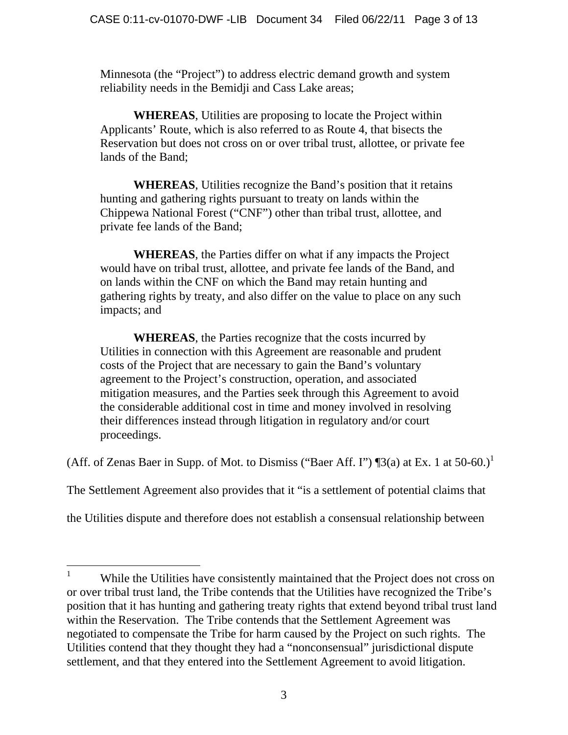Minnesota (the "Project") to address electric demand growth and system reliability needs in the Bemidji and Cass Lake areas;

**WHEREAS**, Utilities are proposing to locate the Project within Applicants' Route, which is also referred to as Route 4, that bisects the Reservation but does not cross on or over tribal trust, allottee, or private fee lands of the Band;

**WHEREAS**, Utilities recognize the Band's position that it retains hunting and gathering rights pursuant to treaty on lands within the Chippewa National Forest ("CNF") other than tribal trust, allottee, and private fee lands of the Band;

**WHEREAS**, the Parties differ on what if any impacts the Project would have on tribal trust, allottee, and private fee lands of the Band, and on lands within the CNF on which the Band may retain hunting and gathering rights by treaty, and also differ on the value to place on any such impacts; and

**WHEREAS**, the Parties recognize that the costs incurred by Utilities in connection with this Agreement are reasonable and prudent costs of the Project that are necessary to gain the Band's voluntary agreement to the Project's construction, operation, and associated mitigation measures, and the Parties seek through this Agreement to avoid the considerable additional cost in time and money involved in resolving their differences instead through litigation in regulatory and/or court proceedings.

(Aff. of Zenas Baer in Supp. of Mot. to Dismiss ("Baer Aff. I")  $\P$ 3(a) at Ex. 1 at 50-60.)<sup>1</sup>

The Settlement Agreement also provides that it "is a settlement of potential claims that

the Utilities dispute and therefore does not establish a consensual relationship between

 $\overline{a}$ 

<sup>1</sup> While the Utilities have consistently maintained that the Project does not cross on or over tribal trust land, the Tribe contends that the Utilities have recognized the Tribe's position that it has hunting and gathering treaty rights that extend beyond tribal trust land within the Reservation. The Tribe contends that the Settlement Agreement was negotiated to compensate the Tribe for harm caused by the Project on such rights. The Utilities contend that they thought they had a "nonconsensual" jurisdictional dispute settlement, and that they entered into the Settlement Agreement to avoid litigation.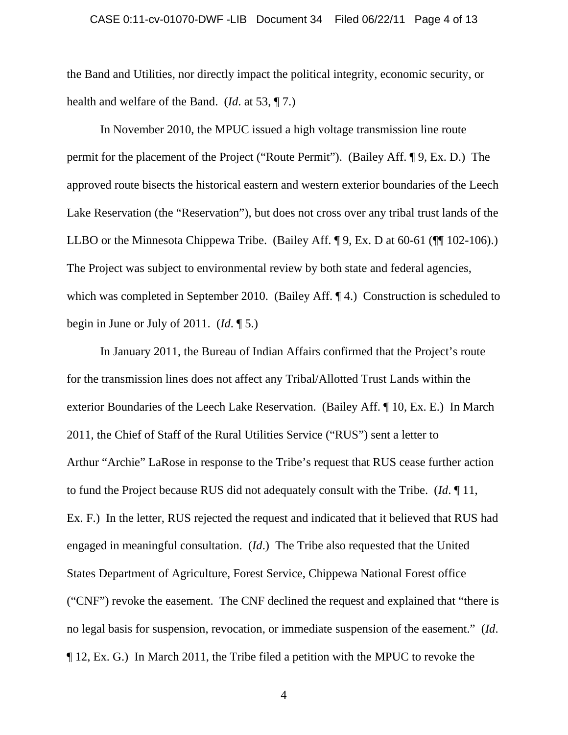#### CASE 0:11-cv-01070-DWF -LIB Document 34 Filed 06/22/11 Page 4 of 13

the Band and Utilities, nor directly impact the political integrity, economic security, or health and welfare of the Band. (*Id*. at 53, ¶ 7.)

In November 2010, the MPUC issued a high voltage transmission line route permit for the placement of the Project ("Route Permit"). (Bailey Aff. ¶ 9, Ex. D.) The approved route bisects the historical eastern and western exterior boundaries of the Leech Lake Reservation (the "Reservation"), but does not cross over any tribal trust lands of the LLBO or the Minnesota Chippewa Tribe. (Bailey Aff. ¶ 9, Ex. D at 60-61 (¶¶ 102-106).) The Project was subject to environmental review by both state and federal agencies, which was completed in September 2010. (Bailey Aff. ¶ 4.) Construction is scheduled to begin in June or July of 2011. (*Id*. ¶ 5.)

 In January 2011, the Bureau of Indian Affairs confirmed that the Project's route for the transmission lines does not affect any Tribal/Allotted Trust Lands within the exterior Boundaries of the Leech Lake Reservation. (Bailey Aff. ¶ 10, Ex. E.) In March 2011, the Chief of Staff of the Rural Utilities Service ("RUS") sent a letter to Arthur "Archie" LaRose in response to the Tribe's request that RUS cease further action to fund the Project because RUS did not adequately consult with the Tribe. (*Id*. ¶ 11, Ex. F.) In the letter, RUS rejected the request and indicated that it believed that RUS had engaged in meaningful consultation. (*Id*.) The Tribe also requested that the United States Department of Agriculture, Forest Service, Chippewa National Forest office ("CNF") revoke the easement. The CNF declined the request and explained that "there is no legal basis for suspension, revocation, or immediate suspension of the easement." (*Id*. ¶ 12, Ex. G.) In March 2011, the Tribe filed a petition with the MPUC to revoke the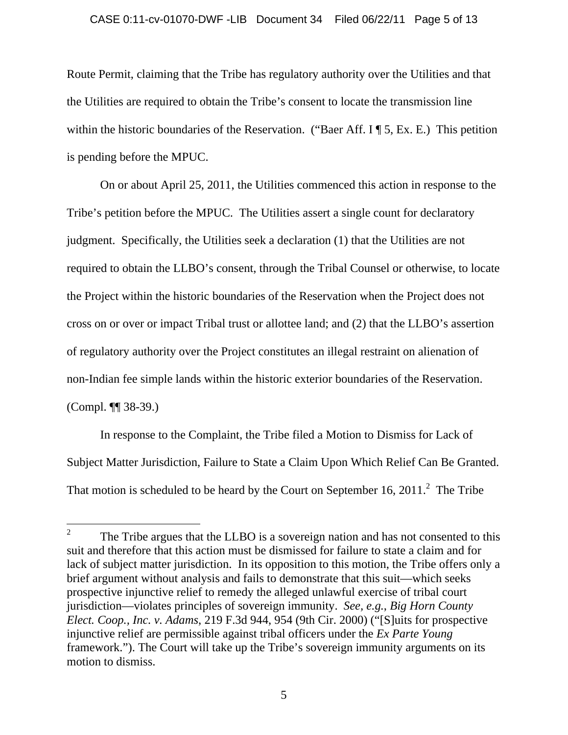## CASE 0:11-cv-01070-DWF -LIB Document 34 Filed 06/22/11 Page 5 of 13

Route Permit, claiming that the Tribe has regulatory authority over the Utilities and that the Utilities are required to obtain the Tribe's consent to locate the transmission line within the historic boundaries of the Reservation. ("Baer Aff. I ¶ 5, Ex. E.) This petition is pending before the MPUC.

 On or about April 25, 2011, the Utilities commenced this action in response to the Tribe's petition before the MPUC. The Utilities assert a single count for declaratory judgment. Specifically, the Utilities seek a declaration (1) that the Utilities are not required to obtain the LLBO's consent, through the Tribal Counsel or otherwise, to locate the Project within the historic boundaries of the Reservation when the Project does not cross on or over or impact Tribal trust or allottee land; and (2) that the LLBO's assertion of regulatory authority over the Project constitutes an illegal restraint on alienation of non-Indian fee simple lands within the historic exterior boundaries of the Reservation. (Compl. ¶¶ 38-39.)

 In response to the Complaint, the Tribe filed a Motion to Dismiss for Lack of Subject Matter Jurisdiction, Failure to State a Claim Upon Which Relief Can Be Granted. That motion is scheduled to be heard by the Court on September 16, 2011.<sup>2</sup> The Tribe

<sup>2</sup> The Tribe argues that the LLBO is a sovereign nation and has not consented to this suit and therefore that this action must be dismissed for failure to state a claim and for lack of subject matter jurisdiction. In its opposition to this motion, the Tribe offers only a brief argument without analysis and fails to demonstrate that this suit—which seeks prospective injunctive relief to remedy the alleged unlawful exercise of tribal court jurisdiction—violates principles of sovereign immunity. *See, e.g.*, *Big Horn County Elect. Coop., Inc. v. Adams*, 219 F.3d 944, 954 (9th Cir. 2000) ("[S]uits for prospective injunctive relief are permissible against tribal officers under the *Ex Parte Young* framework."). The Court will take up the Tribe's sovereign immunity arguments on its motion to dismiss.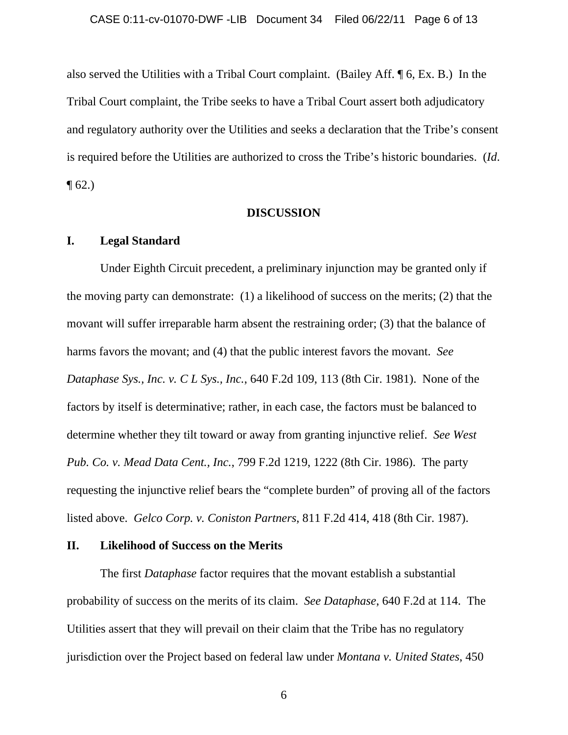also served the Utilities with a Tribal Court complaint. (Bailey Aff. ¶ 6, Ex. B.) In the Tribal Court complaint, the Tribe seeks to have a Tribal Court assert both adjudicatory and regulatory authority over the Utilities and seeks a declaration that the Tribe's consent is required before the Utilities are authorized to cross the Tribe's historic boundaries. (*Id*.  $\P(62.)$ 

# **DISCUSSION**

# **I. Legal Standard**

Under Eighth Circuit precedent, a preliminary injunction may be granted only if the moving party can demonstrate: (1) a likelihood of success on the merits; (2) that the movant will suffer irreparable harm absent the restraining order; (3) that the balance of harms favors the movant; and (4) that the public interest favors the movant. *See Dataphase Sys., Inc. v. C L Sys., Inc.*, 640 F.2d 109, 113 (8th Cir. 1981). None of the factors by itself is determinative; rather, in each case, the factors must be balanced to determine whether they tilt toward or away from granting injunctive relief. *See West Pub. Co. v. Mead Data Cent., Inc.*, 799 F.2d 1219, 1222 (8th Cir. 1986). The party requesting the injunctive relief bears the "complete burden" of proving all of the factors listed above. *Gelco Corp. v. Coniston Partners*, 811 F.2d 414, 418 (8th Cir. 1987).

## **II. Likelihood of Success on the Merits**

The first *Dataphase* factor requires that the movant establish a substantial probability of success on the merits of its claim. *See Dataphase*, 640 F.2d at 114. The Utilities assert that they will prevail on their claim that the Tribe has no regulatory jurisdiction over the Project based on federal law under *Montana v. United States*, 450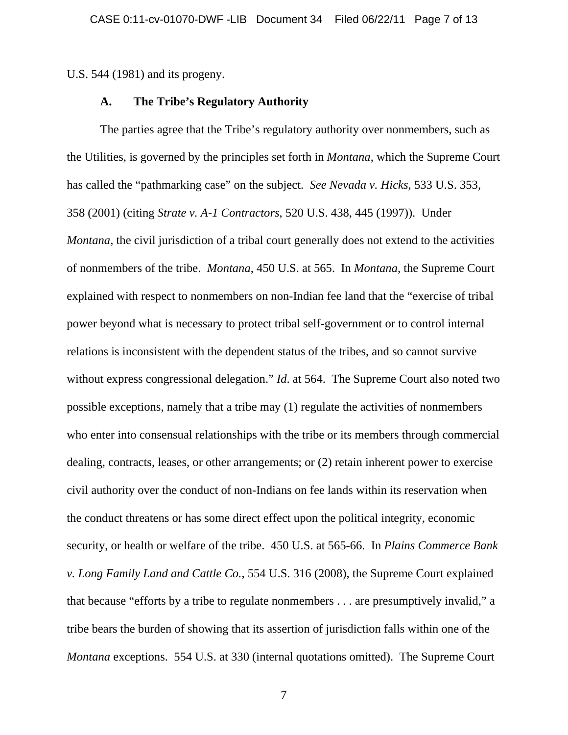U.S. 544 (1981) and its progeny.

# **A. The Tribe's Regulatory Authority**

The parties agree that the Tribe's regulatory authority over nonmembers, such as the Utilities, is governed by the principles set forth in *Montana*, which the Supreme Court has called the "pathmarking case" on the subject. *See Nevada v. Hicks*, 533 U.S. 353, 358 (2001) (citing *Strate v. A-1 Contractors*, 520 U.S. 438, 445 (1997)). Under *Montana*, the civil jurisdiction of a tribal court generally does not extend to the activities of nonmembers of the tribe. *Montana*, 450 U.S. at 565. In *Montana*, the Supreme Court explained with respect to nonmembers on non-Indian fee land that the "exercise of tribal power beyond what is necessary to protect tribal self-government or to control internal relations is inconsistent with the dependent status of the tribes, and so cannot survive without express congressional delegation." *Id.* at 564. The Supreme Court also noted two possible exceptions, namely that a tribe may (1) regulate the activities of nonmembers who enter into consensual relationships with the tribe or its members through commercial dealing, contracts, leases, or other arrangements; or (2) retain inherent power to exercise civil authority over the conduct of non-Indians on fee lands within its reservation when the conduct threatens or has some direct effect upon the political integrity, economic security, or health or welfare of the tribe. 450 U.S. at 565-66. In *Plains Commerce Bank v. Long Family Land and Cattle Co.*, 554 U.S. 316 (2008), the Supreme Court explained that because "efforts by a tribe to regulate nonmembers . . . are presumptively invalid," a tribe bears the burden of showing that its assertion of jurisdiction falls within one of the *Montana* exceptions. 554 U.S. at 330 (internal quotations omitted). The Supreme Court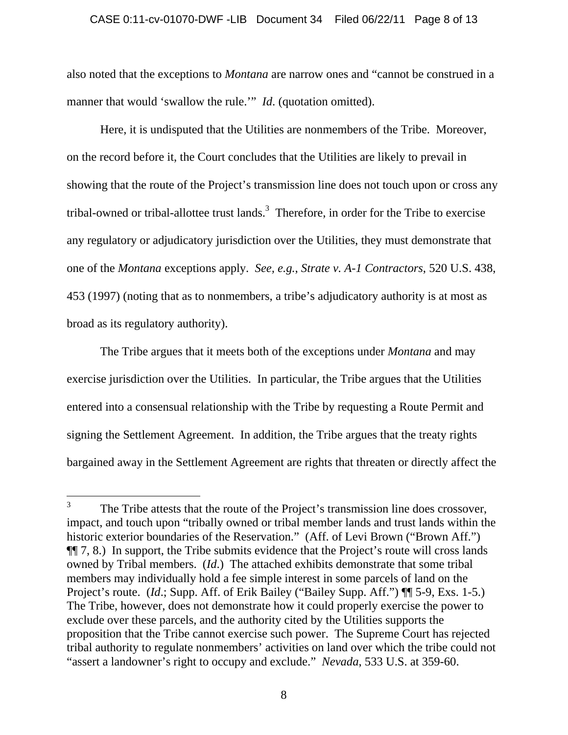### CASE 0:11-cv-01070-DWF -LIB Document 34 Filed 06/22/11 Page 8 of 13

also noted that the exceptions to *Montana* are narrow ones and "cannot be construed in a manner that would 'swallow the rule.'" *Id*. (quotation omitted).

Here, it is undisputed that the Utilities are nonmembers of the Tribe. Moreover, on the record before it, the Court concludes that the Utilities are likely to prevail in showing that the route of the Project's transmission line does not touch upon or cross any tribal-owned or tribal-allottee trust lands.<sup>3</sup> Therefore, in order for the Tribe to exercise any regulatory or adjudicatory jurisdiction over the Utilities, they must demonstrate that one of the *Montana* exceptions apply. *See, e.g.*, *Strate v. A-1 Contractors*, 520 U.S. 438, 453 (1997) (noting that as to nonmembers, a tribe's adjudicatory authority is at most as broad as its regulatory authority).

The Tribe argues that it meets both of the exceptions under *Montana* and may exercise jurisdiction over the Utilities. In particular, the Tribe argues that the Utilities entered into a consensual relationship with the Tribe by requesting a Route Permit and signing the Settlement Agreement. In addition, the Tribe argues that the treaty rights bargained away in the Settlement Agreement are rights that threaten or directly affect the

 $\overline{a}$ 

<sup>3</sup> The Tribe attests that the route of the Project's transmission line does crossover, impact, and touch upon "tribally owned or tribal member lands and trust lands within the historic exterior boundaries of the Reservation." (Aff. of Levi Brown ("Brown Aff.") ¶¶ 7, 8.) In support, the Tribe submits evidence that the Project's route will cross lands owned by Tribal members. (*Id*.) The attached exhibits demonstrate that some tribal members may individually hold a fee simple interest in some parcels of land on the Project's route. (*Id*.; Supp. Aff. of Erik Bailey ("Bailey Supp. Aff.") ¶¶ 5-9, Exs. 1-5.) The Tribe, however, does not demonstrate how it could properly exercise the power to exclude over these parcels, and the authority cited by the Utilities supports the proposition that the Tribe cannot exercise such power. The Supreme Court has rejected tribal authority to regulate nonmembers' activities on land over which the tribe could not "assert a landowner's right to occupy and exclude." *Nevada*, 533 U.S. at 359-60.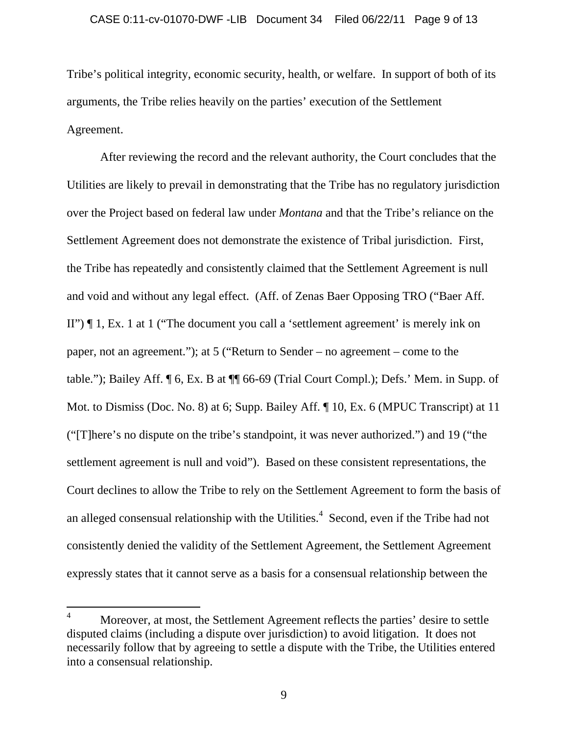## CASE 0:11-cv-01070-DWF -LIB Document 34 Filed 06/22/11 Page 9 of 13

Tribe's political integrity, economic security, health, or welfare. In support of both of its arguments, the Tribe relies heavily on the parties' execution of the Settlement Agreement.

After reviewing the record and the relevant authority, the Court concludes that the Utilities are likely to prevail in demonstrating that the Tribe has no regulatory jurisdiction over the Project based on federal law under *Montana* and that the Tribe's reliance on the Settlement Agreement does not demonstrate the existence of Tribal jurisdiction. First, the Tribe has repeatedly and consistently claimed that the Settlement Agreement is null and void and without any legal effect. (Aff. of Zenas Baer Opposing TRO ("Baer Aff. II") ¶ 1, Ex. 1 at 1 ("The document you call a 'settlement agreement' is merely ink on paper, not an agreement."); at 5 ("Return to Sender – no agreement – come to the table."); Bailey Aff. ¶ 6, Ex. B at ¶¶ 66-69 (Trial Court Compl.); Defs.' Mem. in Supp. of Mot. to Dismiss (Doc. No. 8) at 6; Supp. Bailey Aff.  $\P$  10, Ex. 6 (MPUC Transcript) at 11 ("[T]here's no dispute on the tribe's standpoint, it was never authorized.") and 19 ("the settlement agreement is null and void"). Based on these consistent representations, the Court declines to allow the Tribe to rely on the Settlement Agreement to form the basis of an alleged consensual relationship with the Utilities.<sup>4</sup> Second, even if the Tribe had not consistently denied the validity of the Settlement Agreement, the Settlement Agreement expressly states that it cannot serve as a basis for a consensual relationship between the

 $\overline{a}$ 

<sup>4</sup> Moreover, at most, the Settlement Agreement reflects the parties' desire to settle disputed claims (including a dispute over jurisdiction) to avoid litigation. It does not necessarily follow that by agreeing to settle a dispute with the Tribe, the Utilities entered into a consensual relationship.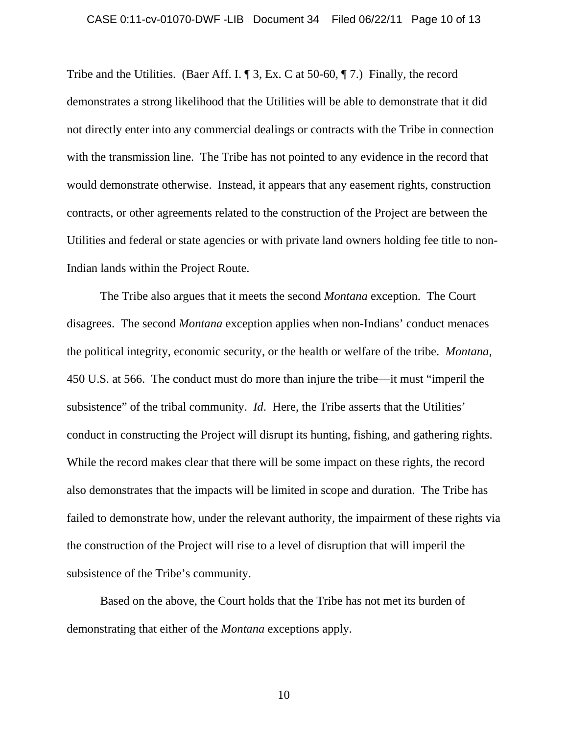Tribe and the Utilities. (Baer Aff. I. ¶ 3, Ex. C at 50-60, ¶ 7.)Finally, the record demonstrates a strong likelihood that the Utilities will be able to demonstrate that it did not directly enter into any commercial dealings or contracts with the Tribe in connection with the transmission line. The Tribe has not pointed to any evidence in the record that would demonstrate otherwise. Instead, it appears that any easement rights, construction contracts, or other agreements related to the construction of the Project are between the Utilities and federal or state agencies or with private land owners holding fee title to non-Indian lands within the Project Route.

The Tribe also argues that it meets the second *Montana* exception. The Court disagrees. The second *Montana* exception applies when non-Indians' conduct menaces the political integrity, economic security, or the health or welfare of the tribe. *Montana*, 450 U.S. at 566. The conduct must do more than injure the tribe—it must "imperil the subsistence" of the tribal community. *Id*. Here, the Tribe asserts that the Utilities' conduct in constructing the Project will disrupt its hunting, fishing, and gathering rights. While the record makes clear that there will be some impact on these rights, the record also demonstrates that the impacts will be limited in scope and duration. The Tribe has failed to demonstrate how, under the relevant authority, the impairment of these rights via the construction of the Project will rise to a level of disruption that will imperil the subsistence of the Tribe's community.

Based on the above, the Court holds that the Tribe has not met its burden of demonstrating that either of the *Montana* exceptions apply.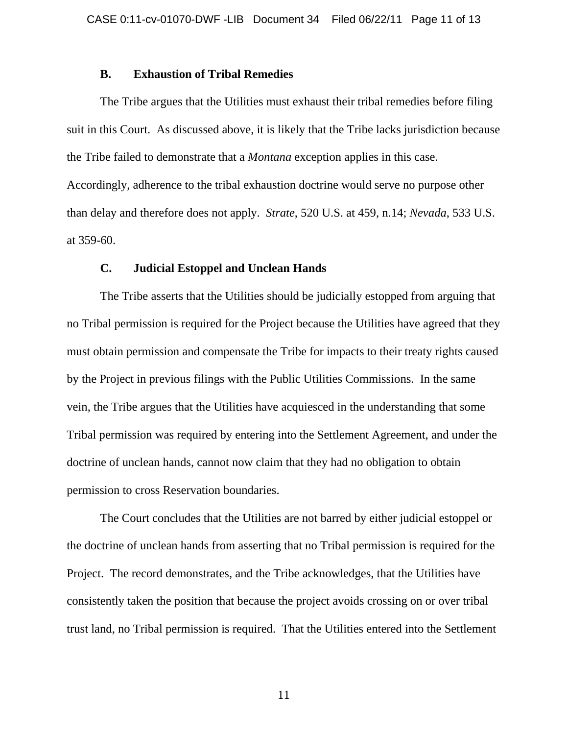### **B. Exhaustion of Tribal Remedies**

The Tribe argues that the Utilities must exhaust their tribal remedies before filing suit in this Court. As discussed above, it is likely that the Tribe lacks jurisdiction because the Tribe failed to demonstrate that a *Montana* exception applies in this case. Accordingly, adherence to the tribal exhaustion doctrine would serve no purpose other than delay and therefore does not apply. *Strate*, 520 U.S. at 459, n.14; *Nevada*, 533 U.S. at 359-60.

# **C. Judicial Estoppel and Unclean Hands**

The Tribe asserts that the Utilities should be judicially estopped from arguing that no Tribal permission is required for the Project because the Utilities have agreed that they must obtain permission and compensate the Tribe for impacts to their treaty rights caused by the Project in previous filings with the Public Utilities Commissions. In the same vein, the Tribe argues that the Utilities have acquiesced in the understanding that some Tribal permission was required by entering into the Settlement Agreement, and under the doctrine of unclean hands, cannot now claim that they had no obligation to obtain permission to cross Reservation boundaries.

The Court concludes that the Utilities are not barred by either judicial estoppel or the doctrine of unclean hands from asserting that no Tribal permission is required for the Project. The record demonstrates, and the Tribe acknowledges, that the Utilities have consistently taken the position that because the project avoids crossing on or over tribal trust land, no Tribal permission is required. That the Utilities entered into the Settlement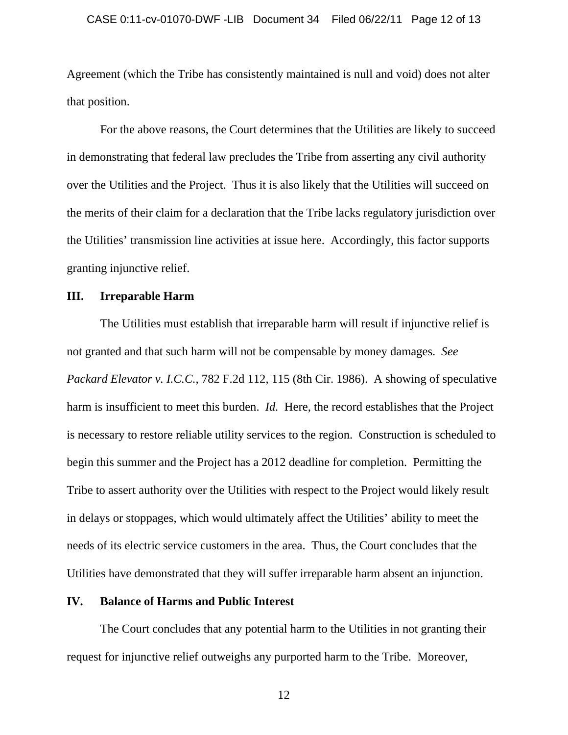Agreement (which the Tribe has consistently maintained is null and void) does not alter that position.

For the above reasons, the Court determines that the Utilities are likely to succeed in demonstrating that federal law precludes the Tribe from asserting any civil authority over the Utilities and the Project. Thus it is also likely that the Utilities will succeed on the merits of their claim for a declaration that the Tribe lacks regulatory jurisdiction over the Utilities' transmission line activities at issue here. Accordingly, this factor supports granting injunctive relief.

# **III. Irreparable Harm**

The Utilities must establish that irreparable harm will result if injunctive relief is not granted and that such harm will not be compensable by money damages. *See Packard Elevator v. I.C.C.*, 782 F.2d 112, 115 (8th Cir. 1986). A showing of speculative harm is insufficient to meet this burden. *Id.* Here, the record establishes that the Project is necessary to restore reliable utility services to the region. Construction is scheduled to begin this summer and the Project has a 2012 deadline for completion. Permitting the Tribe to assert authority over the Utilities with respect to the Project would likely result in delays or stoppages, which would ultimately affect the Utilities' ability to meet the needs of its electric service customers in the area. Thus, the Court concludes that the Utilities have demonstrated that they will suffer irreparable harm absent an injunction.

# **IV. Balance of Harms and Public Interest**

 The Court concludes that any potential harm to the Utilities in not granting their request for injunctive relief outweighs any purported harm to the Tribe. Moreover,